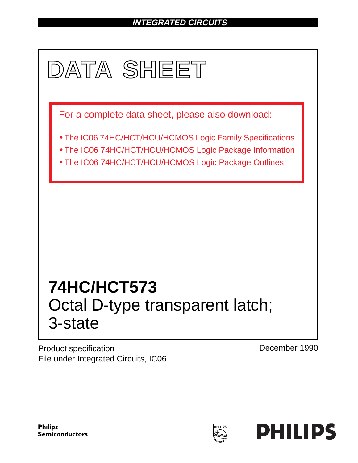# **INTEGRATED CIRCUITS**



Product specification File under Integrated Circuits, IC06 December 1990

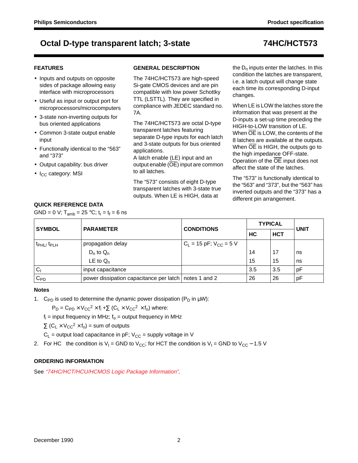## **FEATURES**

- Inputs and outputs on opposite sides of package allowing easy interface with microprocessors
- Useful as input or output port for microprocessors/microcomputers
- 3-state non-inverting outputs for bus oriented applications
- Common 3-state output enable input
- Functionally identical to the "563" and "373"
- Output capability: bus driver
- I<sub>CC</sub> category: MSI

## **GENERAL DESCRIPTION**

The 74HC/HCT573 are high-speed Si-gate CMOS devices and are pin compatible with low power Schottky TTL (LSTTL). They are specified in compliance with JEDEC standard no. 7A.

The 74HC/HCT573 are octal D-type transparent latches featuring separate D-type inputs for each latch and 3-state outputs for bus oriented applications.

A latch enable (LE) input and an output enable (OE) input are common to all latches.

The "573" consists of eight D-type transparent latches with 3-state true outputs. When LE is HIGH, data at

the  $D_n$  inputs enter the latches. In this condition the latches are transparent, i.e. a latch output will change state each time its corresponding D-input changes.

When LE is LOW the latches store the information that was present at the D-inputs a set-up time preceding the HIGH-to-LOW transition of LE. When  $\overline{OE}$  is LOW, the contents of the 8 latches are available at the outputs. When OE is HIGH, the outputs go to the high impedance OFF-state. Operation of the OE input does not affect the state of the latches.

The "573" is functionally identical to the "563" and "373", but the "563" has inverted outputs and the "373" has a different pin arrangement.

## **QUICK REFERENCE DATA**

GND = 0 V;  $T_{amb}$  = 25 °C;  $t_r = t_f = 6$  ns

| <b>SYMBOL</b>                     | <b>PARAMETER</b>                                        | <b>CONDITIONS</b>             | <b>TYPICAL</b> | <b>UNIT</b> |    |  |
|-----------------------------------|---------------------------------------------------------|-------------------------------|----------------|-------------|----|--|
|                                   |                                                         |                               | HC             | <b>HCT</b>  |    |  |
| t <sub>PHL</sub> t <sub>PLH</sub> | propagation delay                                       | $C_L$ = 15 pF; $V_{CC}$ = 5 V |                |             |    |  |
|                                   | $D_n$ to $Q_n$                                          |                               | 14             | 17          | ns |  |
|                                   | LE to $Q_n$                                             |                               | 15             | 15          | ns |  |
| $C_1$                             | input capacitance                                       |                               | 3.5            | 3.5         | рF |  |
| $C_{PD}$                          | power dissipation capacitance per latch   notes 1 and 2 |                               | 26             | 26          | pF |  |

### **Notes**

1. C<sub>PD</sub> is used to determine the dynamic power dissipation (P<sub>D</sub> in  $\mu$ W):

 $P_D = C_{PD} \times V_{CC}^2 \times f_i + \sum (C_L \times V_{CC}^2 \times f_0)$  where:

 $f_i$  = input frequency in MHz;  $f_0$  = output frequency in MHz

 $\Sigma$  (C<sub>L</sub> × V<sub>CC</sub><sup>2</sup> × f<sub>o</sub>) = sum of outputs

 $C_L$  = output load capacitance in pF;  $V_{CC}$  = supply voltage in V

2. For HC the condition is V<sub>I</sub> = GND to V<sub>CC</sub>; for HCT the condition is V<sub>I</sub> = GND to V<sub>CC</sub> – 1.5 V

## **ORDERING INFORMATION**

See "74HC/HCT/HCU/HCMOS Logic Package Information".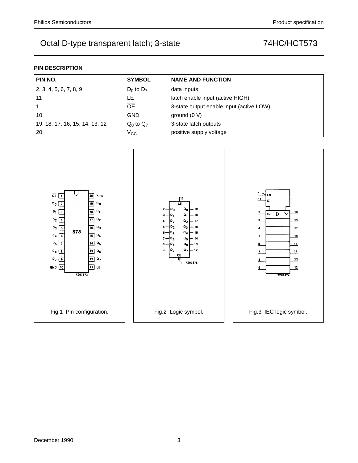## **PIN DESCRIPTION**

| PIN NO.                                  | <b>SYMBOL</b>  | <b>NAME AND FUNCTION</b>                 |  |  |  |  |  |
|------------------------------------------|----------------|------------------------------------------|--|--|--|--|--|
| 2, 3, 4, 5, 6, 7, 8, 9<br>$D_0$ to $D_7$ |                | data inputs                              |  |  |  |  |  |
| 11<br>LE                                 |                | latch enable input (active HIGH)         |  |  |  |  |  |
| <b>OE</b>                                |                | 3-state output enable input (active LOW) |  |  |  |  |  |
| 10                                       | <b>GND</b>     | ground $(0 V)$                           |  |  |  |  |  |
| 19, 18, 17, 16, 15, 14, 13, 12           | $Q_0$ to $Q_7$ | 3-state latch outputs                    |  |  |  |  |  |
| 20                                       | $V_{CC}$       | positive supply voltage                  |  |  |  |  |  |

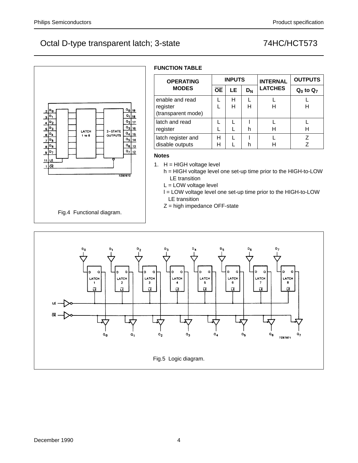D<sub>1</sub>

 $\mathbf{p}_2$ 

 $\overline{\mathsf{p}_3}$ 

04

|¤5

 $D_{6}$ 

D<sub>7</sub> ŁĖ  $\mathbf{R}$ σē

# Octal D-type transparent latch; 3-state 74HC/HCT573

 $\frac{0}{19}$  $a_1$ <sub>18</sub>

 $\overline{a_2}$ <sub>17</sub>

 $\frac{a_3}{a_3} \frac{16}{16}$ 

 $\frac{Q_4}{15}$ 

 $\frac{\alpha_5}{14}$ 

 $\frac{a_6}{13}$ 

 $\frac{Q_7}{12}$ 

7287873

 $3 - STATE$ 

**OUTPUTS** 

Fig.4 Functional diagram.

LATCH

 $1$  to  $8$ 

## **FUNCTION TABLE**

| <b>OPERATING</b>   |           | <b>INPUTS</b> |       | <b>INTERNAL</b> | <b>OUTPUTS</b> |  |  |
|--------------------|-----------|---------------|-------|-----------------|----------------|--|--|
| <b>MODES</b>       | <b>OE</b> | LE.           | $D_N$ | <b>LATCHES</b>  | $Q_0$ to $Q_7$ |  |  |
| enable and read    |           | н             |       |                 |                |  |  |
| register           |           | н             | н     | н               | н              |  |  |
| (transparent mode) |           |               |       |                 |                |  |  |
| latch and read     |           |               |       |                 |                |  |  |
| register           |           |               | h     |                 |                |  |  |
| latch register and | Н         |               |       |                 |                |  |  |
| disable outputs    | Н         |               |       |                 |                |  |  |

### **Notes**

- 1.  $H = HIGH$  voltage level
	- h = HIGH voltage level one set-up time prior to the HIGH-to-LOW LE transition
	- L = LOW voltage level
	- l = LOW voltage level one set-up time prior to the HIGH-to-LOW LE transition
	- Z = high impedance OFF-state

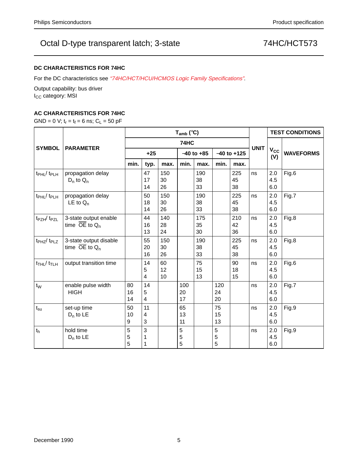## **DC CHARACTERISTICS FOR 74HC**

For the DC characteristics see "74HC/HCT/HCU/HCMOS Logic Family Specifications".

Output capability: bus driver I<sub>CC</sub> category: MSI

## **AC CHARACTERISTICS FOR 74HC**

GND = 0 V;  $t_r = t_f = 6$  ns;  $C_L = 50$  pF

|                                        | <b>PARAMETER</b>                                        | $T_{amb}$ (°C) |                                    |                 |                 |                 |                 |                 |             | <b>TEST CONDITIONS</b> |                  |
|----------------------------------------|---------------------------------------------------------|----------------|------------------------------------|-----------------|-----------------|-----------------|-----------------|-----------------|-------------|------------------------|------------------|
|                                        |                                                         | 74HC           |                                    |                 |                 |                 |                 |                 |             |                        |                  |
| <b>SYMBOL</b>                          |                                                         | $+25$          |                                    |                 | $-40$ to $+85$  |                 | $-40$ to $+125$ |                 | <b>UNIT</b> | $V_{\rm CC}$<br>(V)    | <b>WAVEFORMS</b> |
|                                        |                                                         | min.           | typ.                               | max.            | min.            | max.            | min.            | max.            |             |                        |                  |
| t <sub>PHL</sub> / t <sub>PLH</sub>    | propagation delay<br>$D_n$ to $Q_n$                     |                | 47<br>17<br>14                     | 150<br>30<br>26 |                 | 190<br>38<br>33 |                 | 225<br>45<br>38 | ns          | 2.0<br>4.5<br>6.0      | Fig.6            |
| t <sub>PHL</sub> /t <sub>PLH</sub>     | propagation delay<br>LE to $Q_n$                        |                | 50<br>18<br>14                     | 150<br>30<br>26 |                 | 190<br>38<br>33 |                 | 225<br>45<br>38 | ns          | 2.0<br>4.5<br>6.0      | Fig.7            |
| t <sub>PZH</sub> / t <sub>PZL</sub>    | 3-state output enable<br>time $\overline{OE}$ to $Q_n$  |                | 44<br>16<br>13                     | 140<br>28<br>24 |                 | 175<br>35<br>30 |                 | 210<br>42<br>36 | ns          | 2.0<br>4.5<br>6.0      | Fig.8            |
| $tPHZ$ $tPLZ$                          | 3-state output disable<br>time $\overline{OE}$ to $Q_n$ |                | 55<br>20<br>16                     | 150<br>30<br>26 |                 | 190<br>38<br>33 |                 | 225<br>45<br>38 | ns          | 2.0<br>4.5<br>6.0      | Fig.8            |
| $t$ <sub>THL</sub> $/t$ <sub>TLH</sub> | output transition time                                  |                | 14<br>5<br>$\overline{\mathbf{4}}$ | 60<br>12<br>10  |                 | 75<br>15<br>13  |                 | 90<br>18<br>15  | ns          | 2.0<br>4.5<br>6.0      | Fig.6            |
| $t_{W}$                                | enable pulse width<br><b>HIGH</b>                       | 80<br>16<br>14 | 14<br>5<br>4                       |                 | 100<br>20<br>17 |                 | 120<br>24<br>20 |                 | ns          | 2.0<br>4.5<br>6.0      | Fig.7            |
| $t_{\rm su}$                           | set-up time<br>$D_n$ to LE                              | 50<br>10<br>9  | 11<br>4<br>3                       |                 | 65<br>13<br>11  |                 | 75<br>15<br>13  |                 | ns          | 2.0<br>4.5<br>6.0      | Fig.9            |
| t <sub>h</sub>                         | hold time<br>$D_n$ to LE                                | 5<br>5<br>5    | 3                                  |                 | 5<br>5<br>5     |                 | 5<br>5<br>5     |                 | ns          | 2.0<br>4.5<br>6.0      | Fig.9            |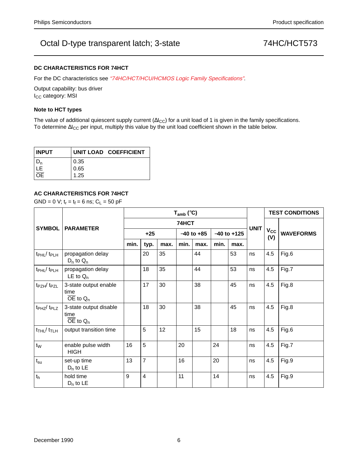### **DC CHARACTERISTICS FOR 74HCT**

For the DC characteristics see "74HC/HCT/HCU/HCMOS Logic Family Specifications".

Output capability: bus driver I<sub>CC</sub> category: MSI

### **Note to HCT types**

The value of additional quiescent supply current ( $\Delta I_{CC}$ ) for a unit load of 1 is given in the family specifications. To determine ∆I<sub>CC</sub> per input, multiply this value by the unit load coefficient shown in the table below.

| <b>INPUT</b> |      | UNIT LOAD COEFFICIENT |
|--------------|------|-----------------------|
|              | 0.35 |                       |
|              | 0.65 |                       |
|              | 1.25 |                       |

## **AC CHARACTERISTICS FOR 74HCT**

GND = 0 V;  $t_r = t_f = 6$  ns;  $C_L = 50$  pF

|                                         | <b>PARAMETER</b>                                           | $T_{amb}$ (°C) |                         |      |                |      |                 |      |             | <b>TEST CONDITIONS</b> |                  |
|-----------------------------------------|------------------------------------------------------------|----------------|-------------------------|------|----------------|------|-----------------|------|-------------|------------------------|------------------|
| <b>SYMBOL</b>                           |                                                            | 74HCT          |                         |      |                |      |                 |      |             |                        |                  |
|                                         |                                                            | $+25$          |                         |      | $-40$ to $+85$ |      | $-40$ to $+125$ |      | <b>UNIT</b> | $V_{\rm CC}$<br>(V)    | <b>WAVEFORMS</b> |
|                                         |                                                            | min.           | typ.                    | max. | min.           | max. | min.            | max. |             |                        |                  |
| $t_{\rm PHL}$ / $t_{\rm PLH}$           | propagation delay<br>$D_n$ to $Q_n$                        |                | 20                      | 35   |                | 44   |                 | 53   | ns          | 4.5                    | Fig.6            |
| $t_{\rm PHL}$ / $t_{\rm PLH}$           | propagation delay<br>LE to $Q_n$                           |                | 18                      | 35   |                | 44   |                 | 53   | ns          | 4.5                    | Fig.7            |
| t <sub>PZH</sub> /t <sub>PZL</sub>      | 3-state output enable<br>time<br>$\overline{OE}$ to $Q_n$  |                | 17                      | 30   |                | 38   |                 | 45   | ns          | 4.5                    | Fig.8            |
| t <sub>PHZ</sub> /t <sub>PLZ</sub>      | 3-state output disable<br>time<br>$\overline{OE}$ to $Q_n$ |                | 18                      | 30   |                | 38   |                 | 45   | ns          | 4.5                    | Fig.8            |
| $t$ <sub>THL</sub> / $t$ <sub>TLH</sub> | output transition time                                     |                | 5                       | 12   |                | 15   |                 | 18   | ns          | 4.5                    | Fig.6            |
| $t_{W}$                                 | enable pulse width<br><b>HIGH</b>                          | 16             | 5                       |      | 20             |      | 24              |      | ns          | 4.5                    | Fig.7            |
| $t_{\rm su}$                            | set-up time<br>$D_n$ to LE                                 | 13             | $\overline{7}$          |      | 16             |      | 20              |      | ns          | 4.5                    | Fig.9            |
| t <sub>h</sub>                          | hold time<br>$D_n$ to LE                                   | 9              | $\overline{\mathbf{4}}$ |      | 11             |      | 14              |      | ns          | 4.5                    | Fig.9            |